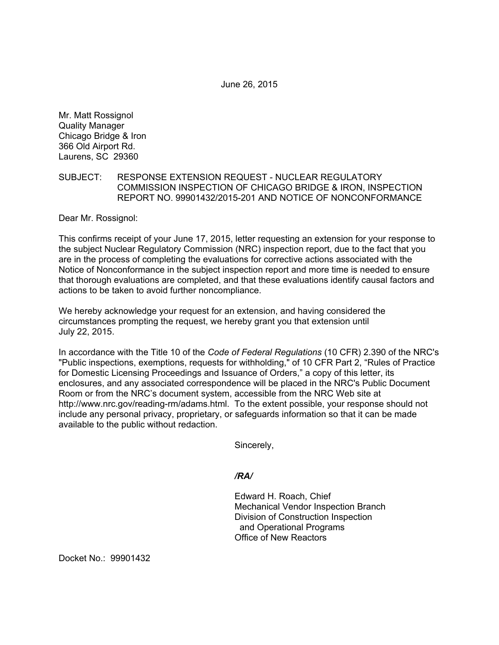June 26, 2015

Mr. Matt Rossignol Quality Manager Chicago Bridge & Iron 366 Old Airport Rd. Laurens, SC 29360

### SUBJECT: RESPONSE EXTENSION REQUEST - NUCLEAR REGULATORY COMMISSION INSPECTION OF CHICAGO BRIDGE & IRON, INSPECTION REPORT NO. 99901432/2015-201 AND NOTICE OF NONCONFORMANCE

Dear Mr. Rossignol:

This confirms receipt of your June 17, 2015, letter requesting an extension for your response to the subject Nuclear Regulatory Commission (NRC) inspection report, due to the fact that you are in the process of completing the evaluations for corrective actions associated with the Notice of Nonconformance in the subject inspection report and more time is needed to ensure that thorough evaluations are completed, and that these evaluations identify causal factors and actions to be taken to avoid further noncompliance.

We hereby acknowledge your request for an extension, and having considered the circumstances prompting the request, we hereby grant you that extension until July 22, 2015.

In accordance with the Title 10 of the *Code of Federal Regulations* (10 CFR) 2.390 of the NRC's "Public inspections, exemptions, requests for withholding," of 10 CFR Part 2, "Rules of Practice for Domestic Licensing Proceedings and Issuance of Orders," a copy of this letter, its enclosures, and any associated correspondence will be placed in the NRC's Public Document Room or from the NRC's document system, accessible from the NRC Web site at http://www.nrc.gov/reading-rm/adams.html. To the extent possible, your response should not include any personal privacy, proprietary, or safeguards information so that it can be made available to the public without redaction.

Sincerely,

#### */RA/*

Edward H. Roach, Chief Mechanical Vendor Inspection Branch Division of Construction Inspection and Operational Programs Office of New Reactors

Docket No.: 99901432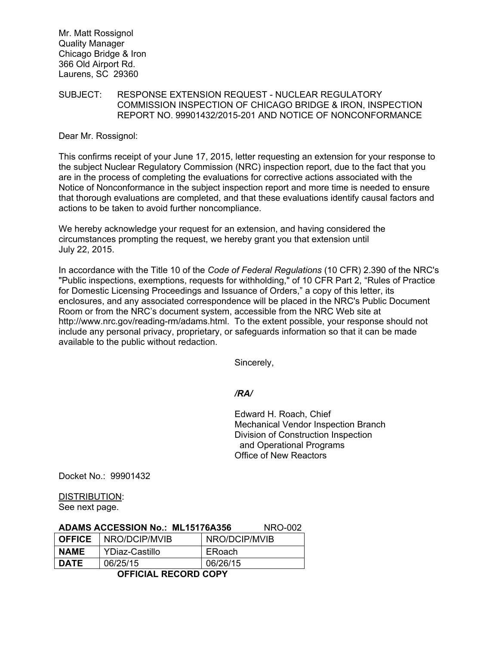Mr. Matt Rossignol Quality Manager Chicago Bridge & Iron 366 Old Airport Rd. Laurens, SC 29360

### SUBJECT: RESPONSE EXTENSION REQUEST - NUCLEAR REGULATORY COMMISSION INSPECTION OF CHICAGO BRIDGE & IRON, INSPECTION REPORT NO. 99901432/2015-201 AND NOTICE OF NONCONFORMANCE

Dear Mr. Rossignol:

This confirms receipt of your June 17, 2015, letter requesting an extension for your response to the subject Nuclear Regulatory Commission (NRC) inspection report, due to the fact that you are in the process of completing the evaluations for corrective actions associated with the Notice of Nonconformance in the subject inspection report and more time is needed to ensure that thorough evaluations are completed, and that these evaluations identify causal factors and actions to be taken to avoid further noncompliance.

We hereby acknowledge your request for an extension, and having considered the circumstances prompting the request, we hereby grant you that extension until July 22, 2015.

In accordance with the Title 10 of the *Code of Federal Regulations* (10 CFR) 2.390 of the NRC's "Public inspections, exemptions, requests for withholding," of 10 CFR Part 2, "Rules of Practice for Domestic Licensing Proceedings and Issuance of Orders," a copy of this letter, its enclosures, and any associated correspondence will be placed in the NRC's Public Document Room or from the NRC's document system, accessible from the NRC Web site at http://www.nrc.gov/reading-rm/adams.html. To the extent possible, your response should not include any personal privacy, proprietary, or safeguards information so that it can be made available to the public without redaction.

Sincerely,

# */RA/*

Edward H. Roach, Chief Mechanical Vendor Inspection Branch Division of Construction Inspection and Operational Programs Office of New Reactors

Docket No.: 99901432

DISTRIBUTION: See next page.

# **ADAMS ACCESSION No.: ML15176A356** NRO-002

|      | <b>OFFICE</b> NRO/DCIP/MVIB | NRO/DCIP/MVIB |
|------|-----------------------------|---------------|
| NAME | YDiaz-Castillo              | ERoach        |
| DATE | 06/25/15                    | 06/26/15      |

 **OFFICIAL RECORD COPY**